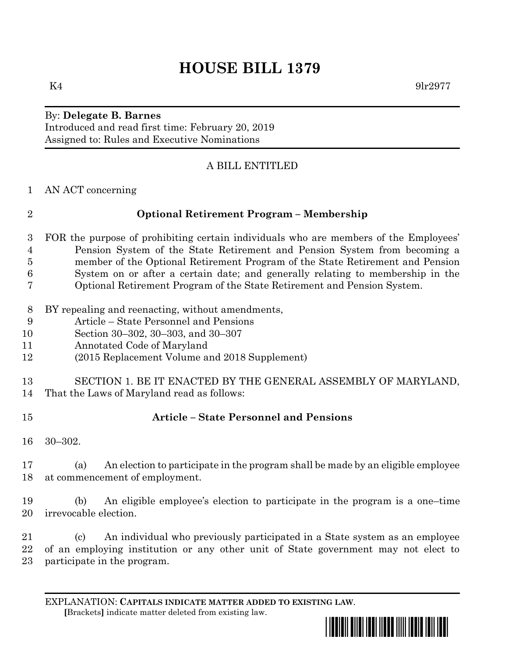# **HOUSE BILL 1379**

### By: **Delegate B. Barnes** Introduced and read first time: February 20, 2019 Assigned to: Rules and Executive Nominations

# A BILL ENTITLED

AN ACT concerning

# **Optional Retirement Program – Membership**

- FOR the purpose of prohibiting certain individuals who are members of the Employees' Pension System of the State Retirement and Pension System from becoming a member of the Optional Retirement Program of the State Retirement and Pension System on or after a certain date; and generally relating to membership in the Optional Retirement Program of the State Retirement and Pension System.
- BY repealing and reenacting, without amendments,
- Article State Personnel and Pensions
- Section 30–302, 30–303, and 30–307
- Annotated Code of Maryland
- (2015 Replacement Volume and 2018 Supplement)
- SECTION 1. BE IT ENACTED BY THE GENERAL ASSEMBLY OF MARYLAND,
- That the Laws of Maryland read as follows:
- 

### **Article – State Personnel and Pensions**

30–302.

 (a) An election to participate in the program shall be made by an eligible employee at commencement of employment.

 (b) An eligible employee's election to participate in the program is a one–time irrevocable election.

 (c) An individual who previously participated in a State system as an employee of an employing institution or any other unit of State government may not elect to participate in the program.

EXPLANATION: **CAPITALS INDICATE MATTER ADDED TO EXISTING LAW**.  **[**Brackets**]** indicate matter deleted from existing law.

\*hb1379\*

 $K4$  9lr2977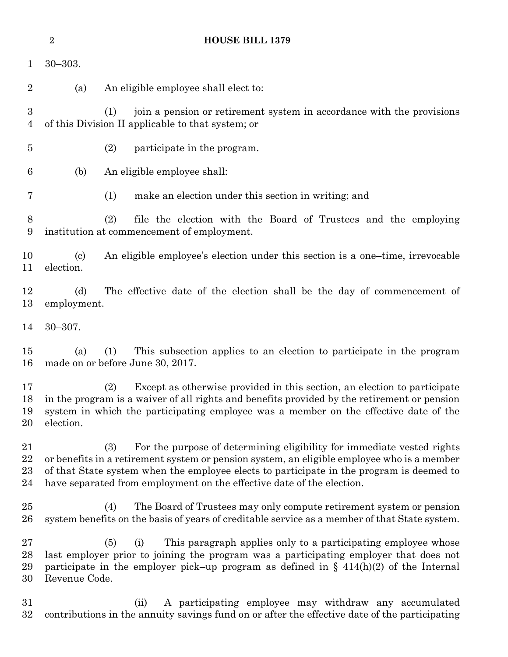|                          | $\overline{2}$                          | <b>HOUSE BILL 1379</b>                                                                                                                                                                                                                                                                                                                           |
|--------------------------|-----------------------------------------|--------------------------------------------------------------------------------------------------------------------------------------------------------------------------------------------------------------------------------------------------------------------------------------------------------------------------------------------------|
| 1                        | $30 - 303.$                             |                                                                                                                                                                                                                                                                                                                                                  |
| $\overline{2}$           | (a)                                     | An eligible employee shall elect to:                                                                                                                                                                                                                                                                                                             |
| $\boldsymbol{3}$<br>4    |                                         | join a pension or retirement system in accordance with the provisions<br>(1)<br>of this Division II applicable to that system; or                                                                                                                                                                                                                |
| $\overline{5}$           |                                         | (2)<br>participate in the program.                                                                                                                                                                                                                                                                                                               |
| 6                        | (b)                                     | An eligible employee shall:                                                                                                                                                                                                                                                                                                                      |
| 7                        |                                         | make an election under this section in writing; and<br>(1)                                                                                                                                                                                                                                                                                       |
| 8<br>9                   |                                         | (2)<br>file the election with the Board of Trustees and the employing<br>institution at commencement of employment.                                                                                                                                                                                                                              |
| 10<br>11                 | $\left( \mathrm{c}\right)$<br>election. | An eligible employee's election under this section is a one-time, irrevocable                                                                                                                                                                                                                                                                    |
| 12<br>13                 | (d)<br>employment.                      | The effective date of the election shall be the day of commencement of                                                                                                                                                                                                                                                                           |
| 14                       | $30 - 307.$                             |                                                                                                                                                                                                                                                                                                                                                  |
| 15<br>16                 | (a)                                     | This subsection applies to an election to participate in the program<br>(1)<br>made on or before June 30, 2017.                                                                                                                                                                                                                                  |
| 17<br>18<br>19<br>20     | election.                               | Except as otherwise provided in this section, an election to participate<br>(2)<br>in the program is a waiver of all rights and benefits provided by the retirement or pension<br>system in which the participating employee was a member on the effective date of the                                                                           |
| 21<br>22<br>23<br>24     |                                         | For the purpose of determining eligibility for immediate vested rights<br>(3)<br>or benefits in a retirement system or pension system, an eligible employee who is a member<br>of that State system when the employee elects to participate in the program is deemed to<br>have separated from employment on the effective date of the election. |
| 25<br>26                 |                                         | The Board of Trustees may only compute retirement system or pension<br>(4)<br>system benefits on the basis of years of creditable service as a member of that State system.                                                                                                                                                                      |
| $27\,$<br>28<br>29<br>30 | Revenue Code.                           | This paragraph applies only to a participating employee whose<br>(5)<br>(i)<br>last employer prior to joining the program was a participating employer that does not<br>participate in the employer pick-up program as defined in $\S$ 414(h)(2) of the Internal                                                                                 |
| 31<br>32                 |                                         | A participating employee may withdraw any accumulated<br>(ii)<br>contributions in the annuity savings fund on or after the effective date of the participating                                                                                                                                                                                   |